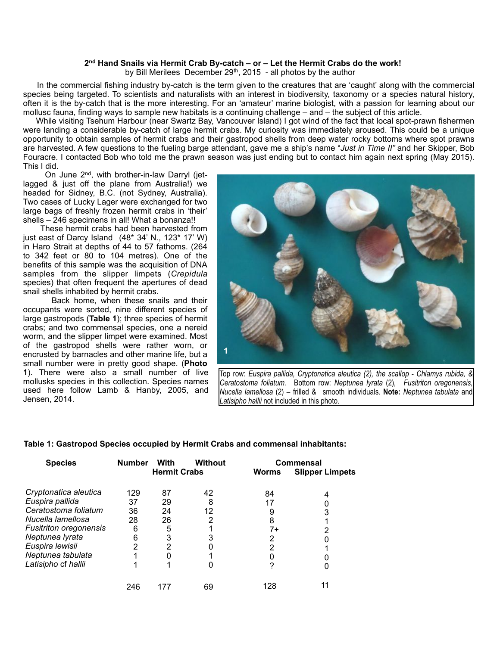## **2nd Hand Snails via Hermit Crab By-catch – or – Let the Hermit Crabs do the work!**

by Bill Merilees December 29<sup>th</sup>, 2015 - all photos by the author

 In the commercial fishing industry by-catch is the term given to the creatures that are 'caught' along with the commercial species being targeted. To scientists and naturalists with an interest in biodiversity, taxonomy or a species natural history, often it is the by-catch that is the more interesting. For an 'amateur' marine biologist, with a passion for learning about our mollusc fauna, finding ways to sample new habitats is a continuing challenge – and – the subject of this article.

 While visiting Tsehum Harbour (near Swartz Bay, Vancouver Island) I got wind of the fact that local spot-prawn fishermen were landing a considerable by-catch of large hermit crabs. My curiosity was immediately aroused. This could be a unique opportunity to obtain samples of hermit crabs and their gastropod shells from deep water rocky bottoms where spot prawns are harvested. A few questions to the fueling barge attendant, gave me a ship's name "*Just in Time II"* and her Skipper, Bob Fouracre. I contacted Bob who told me the prawn season was just ending but to contact him again next spring (May 2015). This I did.

 On June 2nd, with brother-in-law Darryl (jetlagged & just off the plane from Australia!) we headed for Sidney, B.C. (not Sydney, Australia). Two cases of Lucky Lager were exchanged for two large bags of freshly frozen hermit crabs in 'their' shells – 246 specimens in all! What a bonanza!!

 These hermit crabs had been harvested from just east of Darcy Island (48\* 34' N., 123\* 17' W) in Haro Strait at depths of 44 to 57 fathoms. (264 to 342 feet or 80 to 104 metres). One of the benefits of this sample was the acquisition of DNA samples from the slipper limpets (*Crepidula*  species) that often frequent the apertures of dead snail shells inhabited by hermit crabs.

 Back home, when these snails and their occupants were sorted, nine different species of large gastropods (**Table 1**); three species of hermit crabs; and two commensal species, one a nereid worm, and the slipper limpet were examined. Most of the gastropod shells were rather worn, or encrusted by barnacles and other marine life, but a small number were in pretty good shape. (**Photo 1**). There were also a small number of live mollusks species in this collection. Species names used here follow Lamb & Hanby, 2005, and Jensen, 2014.



Top row: *Euspira pallida, Cryptonatica aleutica (2), the scallop* - *Chlamys rubida, & Ceratostoma foliatum.* Bottom row: *Neptunea lyrata* (2)*, Fusitriton oregonensis, Nucella lamellosa* (2) – frilled & smooth individuals. **Note:** *Neptunea tabulata* and *Latisipho hallii* not included in this photo.

**Table 1: Gastropod Species occupied by Hermit Crabs and commensal inhabitants:**

| <b>Species</b>                | <b>Number</b> | With                | <b>Without</b> |       | Commensal              |
|-------------------------------|---------------|---------------------|----------------|-------|------------------------|
|                               |               | <b>Hermit Crabs</b> |                | Worms | <b>Slipper Limpets</b> |
| Cryptonatica aleutica         | 129           | 87                  | 42             | 84    |                        |
| Euspira pallida               | 37            | 29                  | 8              |       |                        |
| Ceratostoma foliatum          | 36            | 24                  | 12             |       |                        |
| Nucella lamellosa             | 28            | 26                  |                | 8     |                        |
| <b>Fusitriton oregonensis</b> | 6             | 5                   |                | 7+    |                        |
| Neptunea lyrata               | 6             | 3                   |                | າ     |                        |
| Euspira lewisii               | 2             | 2                   |                | າ     |                        |
| Neptunea tabulata             |               |                     |                |       |                        |
| Latisipho cf hallii           |               |                     |                |       |                        |
|                               | 246           |                     | 69             | 128   |                        |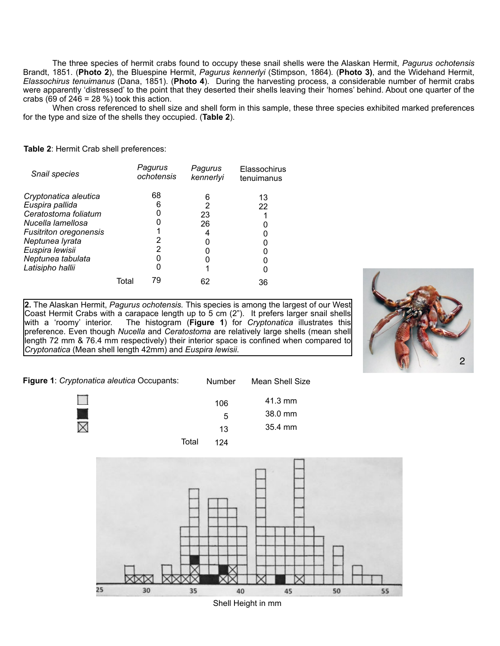The three species of hermit crabs found to occupy these snail shells were the Alaskan Hermit, *Pagurus ochotensis* Brandt, 1851. (**Photo 2**), the Bluespine Hermit, *Pagurus kennerlyi* (Stimpson, 1864)*.* (**Photo 3)**, and the Widehand Hermit, *Elassochirus tenuimanus* (Dana, 1851). (**Photo 4**). During the harvesting process, a considerable number of hermit crabs were apparently 'distressed' to the point that they deserted their shells leaving their 'homes' behind. About one quarter of the crabs (69 of  $246 = 28$  %) took this action.

When cross referenced to shell size and shell form in this sample, these three species exhibited marked preferences for the type and size of the shells they occupied. (**Table 2**).

| Snail species                                                                                                                                                                     |       | Pagurus<br>ochotensis  | Pagurus<br>kennerlyi | Elassochirus<br>tenuimanus |
|-----------------------------------------------------------------------------------------------------------------------------------------------------------------------------------|-------|------------------------|----------------------|----------------------------|
| Cryptonatica aleutica<br>Euspira pallida<br>Ceratostoma foliatum<br>Nucella lamellosa<br><b>Fusitriton oregonensis</b><br>Neptunea Iyrata<br>Euspira lewisii<br>Neptunea tabulata |       | 68<br>6<br>2<br>2<br>0 | 6<br>23<br>26<br>4   | 13<br>22                   |
| Latisipho hallii                                                                                                                                                                  |       | 0                      |                      |                            |
|                                                                                                                                                                                   | Total | 79                     | 62                   | 36                         |

**Table 2**: Hermit Crab shell preferences:

**2.** The Alaskan Hermit, *Pagurus ochotensis.* This species is among the largest of our West Coast Hermit Crabs with a carapace length up to 5 cm (2"). It prefers larger snail shells<br>with a 'roomy' interior. The histogram (Figure 1) for *Cryptonatica* illustrates this The histogram (Figure 1) for *Cryptonatica* illustrates this preference. Even though *Nucella* and *Ceratostoma* are relatively large shells (mean shell length 72 mm & 76.4 mm respectively) their interior space is confined when compared to *Cryptonatica* (Mean shell length 42mm) and *Euspira lewisii*.



**Figure 1**: *Cryptonatica aleutica* Occupants: Number Mean Shell Size

| $\overline{a}$ |       | 106 | 41.3 mm |
|----------------|-------|-----|---------|
|                |       | 5   | 38.0 mm |
| $\boxtimes$    |       | 13  | 35.4 mm |
|                | Total | 124 |         |

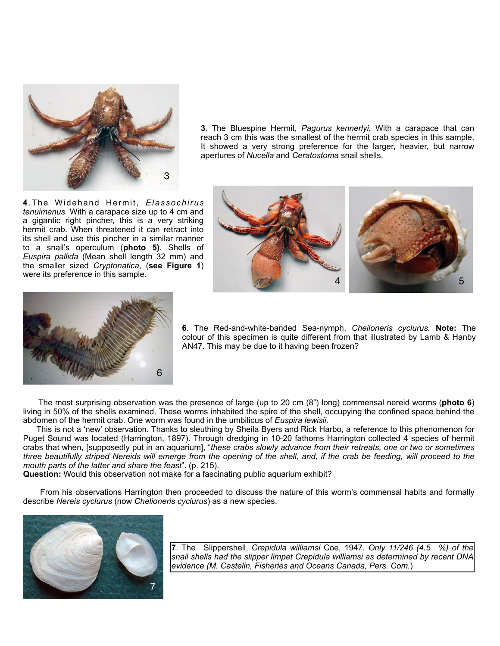

**3.** The Bluespine Hermit, *Pagurus kennerlyi.* With a carapace that can reach 3 cm this was the smallest of the hermit crab species in this sample. It showed a very strong preference for the larger, heavier, but narrow apertures of *Nucella* and *Ceratostoma* snail shells.

**4**.The Widehand Hermit, *Elassochirus tenuimanus.* With a carapace size up to 4 cm and a gigantic right pincher, this is a very striking hermit crab. When threatened it can retract into its shell and use this pincher in a similar manner to a snail's operculum (**photo 5)**. Shells of *Euspira pallida* (Mean shell length 32 mm) and the smaller sized *Cryptonatica*, (**see Figure 1**) were its preference in this sample.





**6**. The Red-and-white-banded Sea-nymph, *Cheiloneris cyclurus.* **Note:** The colour of this specimen is quite different from that illustrated by Lamb & Hanby AN47. This may be due to it having been frozen?

 The most surprising observation was the presence of large (up to 20 cm (8") long) commensal nereid worms (**photo 6**) living in 50% of the shells examined. These worms inhabited the spire of the shell, occupying the confined space behind the abdomen of the hermit crab. One worm was found in the umbilicus of *Euspira lewisii.*

 This is not a 'new' observation. Thanks to sleuthing by Sheila Byers and Rick Harbo, a reference to this phenomenon for Puget Sound was located (Harrington, 1897). Through dredging in 10-20 fathoms Harrington collected 4 species of hermit crabs that when, [supposedly put in an aquarium], "*these crabs slowly advance from their retreats, one or two or sometimes three beautifully striped Nereids will emerge from the opening of the shell, and, if the crab be feeding, will proceed to the mouth parts of the latter and share the feast*". (p. 215).

**Question:** Would this observation not make for a fascinating public aquarium exhibit?

 From his observations Harrington then proceeded to discuss the nature of this worm's commensal habits and formally describe *Nereis cyclurus* (now *Chelioneris cyclurus*) as a new species.



**7**. The Slippershell, *Crepidula williamsi* Coe, 1947*. Only 11/246 (4.5 %) of the snail shells had the slipper limpet Crepidula williamsi as determined by recent DNA evidence (M. Castelin, Fisheries and Oceans Canada, Pers. Com.*)